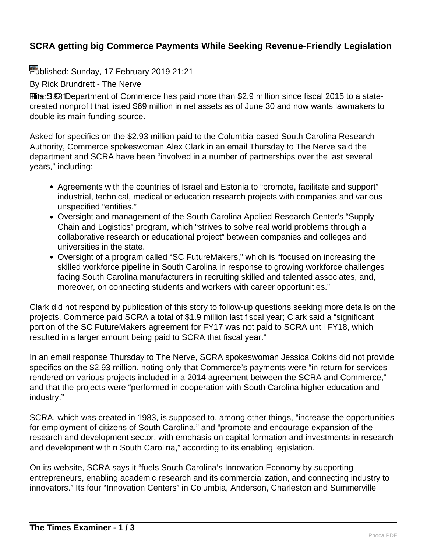## **SCRA getting big Commerce Payments While Seeking Revenue-Friendly Legislation**

Published: Sunday, 17 February 2019 21:21

By Rick Brundrett - The Nerve

Hite: 3.88 Department of Commerce has paid more than \$2.9 million since fiscal 2015 to a statecreated nonprofit that listed \$69 million in net assets as of June 30 and now wants lawmakers to double its main funding source.

Asked for specifics on the \$2.93 million paid to the Columbia-based South Carolina Research Authority, Commerce spokeswoman Alex Clark in an email Thursday to The Nerve said the department and SCRA have been "involved in a number of partnerships over the last several years," including:

- Agreements with the countries of Israel and Estonia to "promote, facilitate and support" industrial, technical, medical or education research projects with companies and various unspecified "entities."
- Oversight and management of the South Carolina Applied Research Center's "Supply Chain and Logistics" program, which "strives to solve real world problems through a collaborative research or educational project" between companies and colleges and universities in the state.
- Oversight of a program called "SC FutureMakers," which is "focused on increasing the skilled workforce pipeline in South Carolina in response to growing workforce challenges facing South Carolina manufacturers in recruiting skilled and talented associates, and, moreover, on connecting students and workers with career opportunities."

Clark did not respond by publication of this story to follow-up questions seeking more details on the projects. Commerce paid SCRA a total of \$1.9 million last fiscal year; Clark said a "significant portion of the SC FutureMakers agreement for FY17 was not paid to SCRA until FY18, which resulted in a larger amount being paid to SCRA that fiscal year."

In an email response Thursday to The Nerve, SCRA spokeswoman Jessica Cokins did not provide specifics on the \$2.93 million, noting only that Commerce's payments were "in return for services rendered on various projects included in a 2014 agreement between the SCRA and Commerce," and that the projects were "performed in cooperation with South Carolina higher education and industry."

SCRA, which was created in 1983, is supposed to, among other things, "increase the opportunities for employment of citizens of South Carolina," and "promote and encourage expansion of the research and development sector, with emphasis on capital formation and investments in research and development within South Carolina," according to its enabling legislation.

On its website, SCRA says it "fuels South Carolina's Innovation Economy by supporting entrepreneurs, enabling academic research and its commercialization, and connecting industry to innovators." Its four "Innovation Centers" in Columbia, Anderson, Charleston and Summerville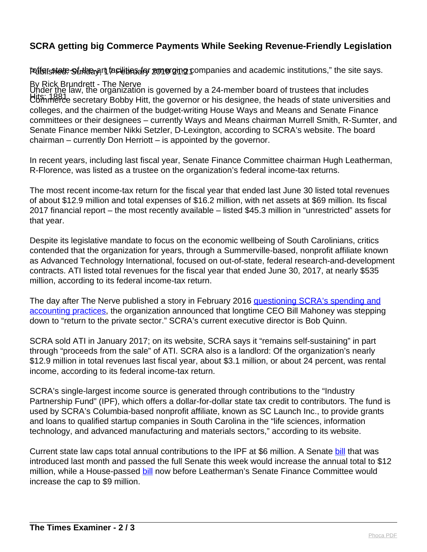## **SCRA getting big Commerce Payments While Seeking Revenue-Friendly Legislation**

Pulfersstete Strtherert farilities for emerging companies and academic institutions," the site says.

By Rick Brundrett - The Nerve His: 1883 Com, the expansion of generation or his designee, the heads of state universities and Universities and Under the law, the organization is governed by a 24-member board of trustees that includes colleges, and the chairmen of the budget-writing House Ways and Means and Senate Finance committees or their designees – currently Ways and Means chairman Murrell Smith, R-Sumter, and Senate Finance member Nikki Setzler, D-Lexington, according to SCRA's website. The board chairman – currently Don Herriott – is appointed by the governor.

In recent years, including last fiscal year, Senate Finance Committee chairman Hugh Leatherman, R-Florence, was listed as a trustee on the organization's federal income-tax returns.

The most recent income-tax return for the fiscal year that ended last June 30 listed total revenues of about \$12.9 million and total expenses of \$16.2 million, with net assets at \$69 million. Its fiscal 2017 financial report – the most recently available – listed \$45.3 million in "unrestricted" assets for that year.

Despite its legislative mandate to focus on the economic wellbeing of South Carolinians, critics contended that the organization for years, through a Summerville-based, nonprofit affiliate known as Advanced Technology International, focused on out-of-state, federal research-and-development contracts. ATI listed total revenues for the fiscal year that ended June 30, 2017, at nearly \$535 million, according to its federal income-tax return.

The day after The Nerve published a story in February 2016 [questioning SCRA's spending and](https://thenerve.org/scra-mahoney/) [accounting practices,](https://thenerve.org/scra-mahoney/) the organization announced that longtime CEO Bill Mahoney was stepping down to "return to the private sector." SCRA's current executive director is Bob Quinn.

SCRA sold ATI in January 2017; on its website, SCRA says it "remains self-sustaining" in part through "proceeds from the sale" of ATI. SCRA also is a landlord: Of the organization's nearly \$12.9 million in total revenues last fiscal year, about \$3.1 million, or about 24 percent, was rental income, according to its federal income-tax return.

SCRA's single-largest income source is generated through contributions to the "Industry Partnership Fund" (IPF), which offers a dollar-for-dollar state tax credit to contributors. The fund is used by SCRA's Columbia-based nonprofit affiliate, known as SC Launch Inc., to provide grants and loans to qualified startup companies in South Carolina in the "life sciences, information technology, and advanced manufacturing and materials sectors," according to its website.

Current state law caps total annual contributions to the IPF at \$6 million. A Senate [bill](https://www.scstatehouse.gov/sess123_2019-2020/prever/309_20190205.htm) that was introduced last month and passed the full Senate this week would increase the annual total to \$12 million, while a House-passed [bill](https://www.scstatehouse.gov/sess123_2019-2020/prever/3595_20190207.htm) now before Leatherman's Senate Finance Committee would increase the cap to \$9 million.